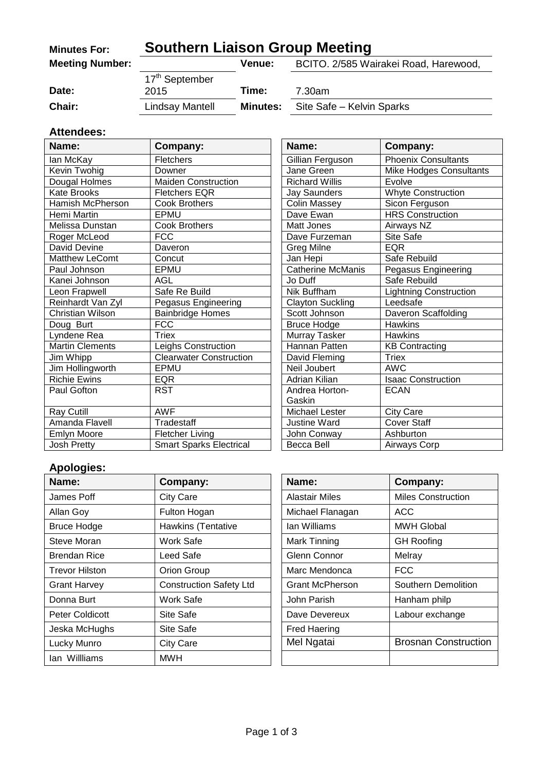| <b>Minutes For:</b>    | <b>Southern Liaison Group Meeting</b> |                                                        |                           |  |
|------------------------|---------------------------------------|--------------------------------------------------------|---------------------------|--|
| <b>Meeting Number:</b> |                                       | BCITO. 2/585 Wairakei Road, Harewood,<br><b>Venue:</b> |                           |  |
|                        | 17 <sup>th</sup> September            |                                                        |                           |  |
| Date:                  | 2015                                  | Time:                                                  | 7.30am                    |  |
| Chair:                 | Lindsay Mantell                       | <b>Minutes:</b>                                        | Site Safe - Kelvin Sparks |  |

#### **Attendees:**

| Name:                  | Company:                       | Name:                    | Company:                      |
|------------------------|--------------------------------|--------------------------|-------------------------------|
| lan McKay              | <b>Fletchers</b>               | Gillian Ferguson         | <b>Phoenix Consultants</b>    |
| Kevin Twohig           | Downer                         | Jane Green               | Mike Hodges Consultants       |
| Dougal Holmes          | <b>Maiden Construction</b>     | <b>Richard Willis</b>    | Evolve                        |
| <b>Kate Brooks</b>     | <b>Fletchers EQR</b>           | Jay Saunders             | <b>Whyte Construction</b>     |
| Hamish McPherson       | <b>Cook Brothers</b>           | <b>Colin Massey</b>      | Sicon Ferguson                |
| Hemi Martin            | EPMU                           | Dave Ewan                | <b>HRS</b> Construction       |
| Melissa Dunstan        | <b>Cook Brothers</b>           | <b>Matt Jones</b>        | Airways NZ                    |
| Roger McLeod           | <b>FCC</b>                     | Dave Furzeman            | Site Safe                     |
| David Devine           | Daveron                        | Greg Milne               | <b>EQR</b>                    |
| <b>Matthew LeComt</b>  | Concut                         | Jan Hepi                 | Safe Rebuild                  |
| Paul Johnson           | EPMU                           | <b>Catherine McManis</b> | Pegasus Engineering           |
| Kanei Johnson          | <b>AGL</b>                     | Jo Duff                  | Safe Rebuild                  |
| Leon Frapwell          | Safe Re Build                  | Nik Buffham              | <b>Lightning Construction</b> |
| Reinhardt Van Zyl      | Pegasus Engineering            | <b>Clayton Suckling</b>  | Leedsafe                      |
| Christian Wilson       | <b>Bainbridge Homes</b>        | Scott Johnson            | Daveron Scaffolding           |
| Doug Burt              | <b>FCC</b>                     | <b>Bruce Hodge</b>       | <b>Hawkins</b>                |
| Lyndene Rea            | <b>Triex</b>                   | Murray Tasker            | <b>Hawkins</b>                |
| <b>Martin Clements</b> | Leighs Construction            | Hannan Patten            | <b>KB Contracting</b>         |
| Jim Whipp              | <b>Clearwater Construction</b> | David Fleming            | Triex                         |
| Jim Hollingworth       | EPMU                           | Neil Joubert             | <b>AWC</b>                    |
| <b>Richie Ewins</b>    | <b>EQR</b>                     | Adrian Kilian            | <b>Isaac Construction</b>     |
| Paul Gofton            | <b>RST</b>                     | Andrea Horton-           | <b>ECAN</b>                   |
|                        |                                | Gaskin                   |                               |
| Ray Cutill             | <b>AWF</b>                     | Michael Lester           | <b>City Care</b>              |
| Amanda Flavell         | Tradestaff                     | <b>Justine Ward</b>      | <b>Cover Staff</b>            |
| <b>Emlyn Moore</b>     | <b>Fletcher Living</b>         | John Conway              | Ashburton                     |
| <b>Josh Pretty</b>     | <b>Smart Sparks Electrical</b> | Becca Bell               | Airways Corp                  |

| Name:                    | Company:                       |
|--------------------------|--------------------------------|
| Gillian Ferguson         | <b>Phoenix Consultants</b>     |
| Jane Green               | <b>Mike Hodges Consultants</b> |
| <b>Richard Willis</b>    | Evolve                         |
| <b>Jay Saunders</b>      | <b>Whyte Construction</b>      |
| <b>Colin Massey</b>      | Sicon Ferguson                 |
| Dave Ewan                | <b>HRS Construction</b>        |
| Matt Jones               | Airways NZ                     |
| Dave Furzeman            | Site Safe                      |
| Greg Milne               | <b>EQR</b>                     |
| Jan Hepi                 | Safe Rebuild                   |
| <b>Catherine McManis</b> | Pegasus Engineering            |
| Jo Duff                  | Safe Rebuild                   |
| <b>Nik Buffham</b>       | <b>Lightning Construction</b>  |
| <b>Clayton Suckling</b>  | Leedsafe                       |
| Scott Johnson            | Daveron Scaffolding            |
| <b>Bruce Hodge</b>       | <b>Hawkins</b>                 |
| Murray Tasker            | <b>Hawkins</b>                 |
| Hannan Patten            | <b>KB Contracting</b>          |
| David Fleming            | Triex                          |
| Neil Joubert             | AWC                            |
| Adrian Kilian            | <b>Isaac Construction</b>      |
| Andrea Horton-           | <b>ECAN</b>                    |
| Gaskin                   |                                |
| <b>Michael Lester</b>    | <b>City Care</b>               |
| <b>Justine Ward</b>      | <b>Cover Staff</b>             |
| John Conway              | Ashburton                      |
| Becca Bell               | Airways Corp                   |

## **Apologies:**

| Name:                  | Company:                       | Name:                  | Company:                    |
|------------------------|--------------------------------|------------------------|-----------------------------|
| James Poff             | <b>City Care</b>               | <b>Alastair Miles</b>  | <b>Miles Construction</b>   |
| Allan Goy              | Fulton Hogan                   | Michael Flanagan       | ACC                         |
| <b>Bruce Hodge</b>     | Hawkins (Tentative             | lan Williams           | <b>MWH Global</b>           |
| Steve Moran            | Work Safe                      | Mark Tinning           | <b>GH Roofing</b>           |
| <b>Brendan Rice</b>    | Leed Safe                      | Glenn Connor           | Melray                      |
| Trevor Hilston         | Orion Group                    | Marc Mendonca          | <b>FCC</b>                  |
| <b>Grant Harvey</b>    | <b>Construction Safety Ltd</b> | <b>Grant McPherson</b> | Southern Demolition         |
| Donna Burt             | Work Safe                      | John Parish            | Hanham philp                |
| <b>Peter Coldicott</b> | Site Safe                      | Dave Devereux          | Labour exchange             |
| Jeska McHughs          | Site Safe                      | <b>Fred Haering</b>    |                             |
| Lucky Munro            | <b>City Care</b>               | Mel Ngatai             | <b>Brosnan Construction</b> |
| lan Willliams          | <b>MWH</b>                     |                        |                             |

| Name:            | Company:                    |  |
|------------------|-----------------------------|--|
| Alastair Miles   | <b>Miles Construction</b>   |  |
| Michael Flanagan | ACC                         |  |
| lan Williams     | <b>MWH Global</b>           |  |
| Mark Tinning     | <b>GH Roofing</b>           |  |
| Glenn Connor     | Melray                      |  |
| Marc Mendonca    | FCC                         |  |
| Grant McPherson  | Southern Demolition         |  |
| John Parish      | Hanham philp                |  |
| Dave Devereux    | Labour exchange             |  |
| Fred Haering     |                             |  |
| Mel Ngatai       | <b>Brosnan Construction</b> |  |
|                  |                             |  |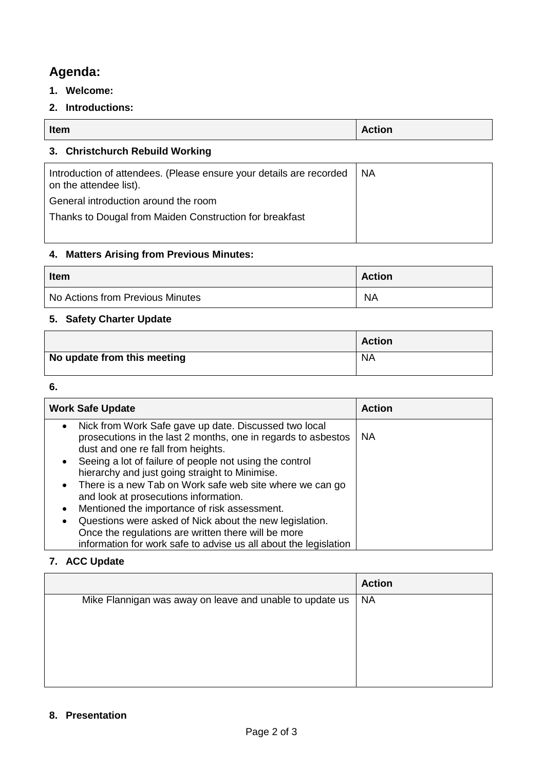# **Agenda:**

- **1. Welcome:**
- **2. Introductions:**

| Item                            | <b>Action</b> |
|---------------------------------|---------------|
| 3. Christchurch Rebuild Working |               |
|                                 |               |

| Introduction of attendees. (Please ensure your details are recorded<br>on the attendee list). | <b>NA</b> |
|-----------------------------------------------------------------------------------------------|-----------|
| General introduction around the room                                                          |           |
| Thanks to Dougal from Maiden Construction for breakfast                                       |           |
|                                                                                               |           |

## **4. Matters Arising from Previous Minutes:**

| <b>Item</b>                      | <b>Action</b> |
|----------------------------------|---------------|
| No Actions from Previous Minutes | <b>NA</b>     |

## **5. Safety Charter Update**

|                             | <b>Action</b> |
|-----------------------------|---------------|
| No update from this meeting | <b>NA</b>     |

#### **6.**

| <b>Work Safe Update</b>            |                                                                                                                                                                                    | <b>Action</b> |
|------------------------------------|------------------------------------------------------------------------------------------------------------------------------------------------------------------------------------|---------------|
| dust and one re fall from heights. | Nick from Work Safe gave up date. Discussed two local<br>prosecutions in the last 2 months, one in regards to asbestos                                                             | <b>NA</b>     |
|                                    | Seeing a lot of failure of people not using the control<br>hierarchy and just going straight to Minimise.                                                                          |               |
| $\bullet$                          | There is a new Tab on Work safe web site where we can go<br>and look at prosecutions information.                                                                                  |               |
|                                    | Mentioned the importance of risk assessment.                                                                                                                                       |               |
| $\bullet$                          | Questions were asked of Nick about the new legislation.<br>Once the regulations are written there will be more<br>information for work safe to advise us all about the legislation |               |

#### **7. ACC Update**

|                                                          | <b>Action</b> |
|----------------------------------------------------------|---------------|
| Mike Flannigan was away on leave and unable to update us | <b>NA</b>     |
|                                                          |               |
|                                                          |               |
|                                                          |               |
|                                                          |               |